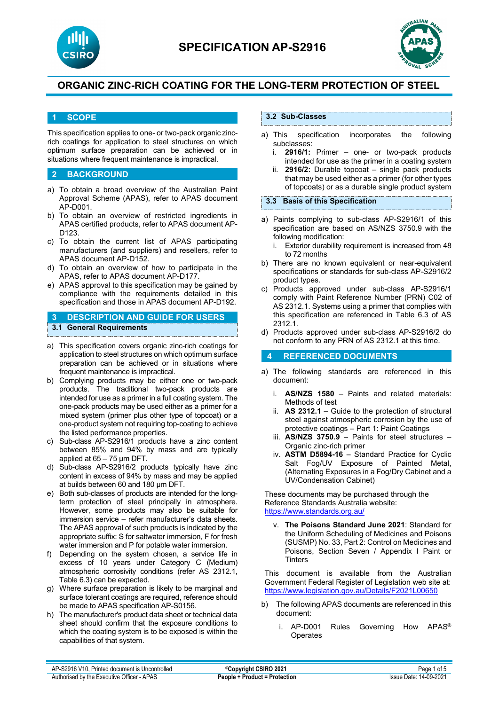



## **1 SCOPE**

This specification applies to one- or two-pack organic zincrich coatings for application to steel structures on which optimum surface preparation can be achieved or in situations where frequent maintenance is impractical.

### **2 BACKGROUND**

- a) To obtain a broad overview of the Australian Paint Approval Scheme (APAS), refer to APAS document AP-D001.
- b) To obtain an overview of restricted ingredients in APAS certified products, refer to APAS document AP-D123.
- c) To obtain the current list of APAS participating manufacturers (and suppliers) and resellers, refer to APAS document AP-D152.
- d) To obtain an overview of how to participate in the APAS, refer to APAS document AP-D177.
- e) APAS approval to this specification may be gained by compliance with the requirements detailed in this specification and those in APAS document AP-D192.

## **3 DESCRIPTION AND GUIDE FOR USERS 3.1 General Requirements**

- a) This specification covers organic zinc-rich coatings for application to steel structures on which optimum surface preparation can be achieved or in situations where frequent maintenance is impractical.
- b) Complying products may be either one or two-pack products. The traditional two-pack products are intended for use as a primer in a full coating system. The one-pack products may be used either as a primer for a mixed system (primer plus other type of topcoat) or a one-product system not requiring top-coating to achieve the listed performance properties.
- c) Sub-class AP-S2916/1 products have a zinc content between 85% and 94% by mass and are typically applied at 65 – 75 µm DFT.
- d) Sub-class AP-S2916/2 products typically have zinc content in excess of 94% by mass and may be applied at builds between 60 and 180 µm DFT.
- e) Both sub-classes of products are intended for the longterm protection of steel principally in atmosphere. However, some products may also be suitable for immersion service – refer manufacturer's data sheets. The APAS approval of such products is indicated by the appropriate suffix: S for saltwater immersion, F for fresh water immersion and P for potable water immersion.
- f) Depending on the system chosen, a service life in excess of 10 years under Category C (Medium) atmospheric corrosivity conditions (refer AS 2312.1, Table 6.3) can be expected.
- g) Where surface preparation is likely to be marginal and surface tolerant coatings are required, reference should be made to APAS specification AP-S0156.
- h) The manufacturer's product data sheet or technical data sheet should confirm that the exposure conditions to which the coating system is to be exposed is within the capabilities of that system.

## **3.2 Sub-Classes**

- a) This specification incorporates the following subclasses:
	- i. **2916/1:** Primer one- or two-pack products intended for use as the primer in a coating system
	- ii. **2916/2:** Durable topcoat single pack products that may be used either as a primer (for other types of topcoats) or as a durable single product system

#### **3.3 Basis of this Specification**

- a) Paints complying to sub-class AP-S2916/1 of this specification are based on AS/NZS 3750.9 with the following modification:
	- i. Exterior durability requirement is increased from 48 to 72 months
- b) There are no known equivalent or near-equivalent specifications or standards for sub-class AP-S2916/2 product types.
- c) Products approved under sub-class AP-S2916/1 comply with Paint Reference Number (PRN) C02 of AS 2312.1. Systems using a primer that complies with this specification are referenced in Table 6.3 of AS 2312.1.
- d) Products approved under sub-class AP-S2916/2 do not conform to any PRN of AS 2312.1 at this time.

### **4 REFERENCED DOCUMENTS**

- a) The following standards are referenced in this document:
	- i. **AS/NZS 1580** Paints and related materials: Methods of test
	- ii. **AS 2312.1** Guide to the protection of structural steel against atmospheric corrosion by the use of protective coatings – Part 1: Paint Coatings
	- iii. **AS/NZS 3750.9** Paints for steel structures Organic zinc-rich primer
	- iv. **ASTM D5894-16** Standard Practice for Cyclic Salt Fog/UV Exposure of Painted Metal, (Alternating Exposures in a Fog/Dry Cabinet and a UV/Condensation Cabinet)

These documents may be purchased through the Reference Standards Australia website: <https://www.standards.org.au/>

v. **The Poisons Standard June 2021**: Standard for the Uniform Scheduling of Medicines and Poisons (SUSMP) No. 33, Part 2: Control on Medicines and Poisons, Section Seven / Appendix I Paint or **Tinters** 

This document is available from the Australian Government Federal Register of Legislation web site at: <https://www.legislation.gov.au/Details/F2021L00650>

- b) The following APAS documents are referenced in this document:
	- i. AP-D001 Rules Governing How APAS® Operates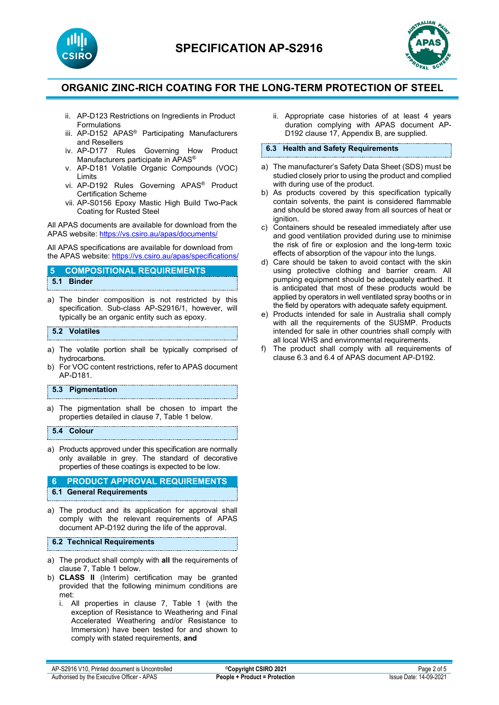



- ii. AP-D123 Restrictions on Ingredients in Product Formulations
- iii. AP-D152 APAS® Participating Manufacturers and Resellers
- iv. AP-D177 Rules Governing How Product Manufacturers participate in APAS®
- v. AP-D181 Volatile Organic Compounds (VOC) Limits
- vi. AP-D192 Rules Governing APAS® Product Certification Scheme
- vii. AP-S0156 Epoxy Mastic High Build Two-Pack Coating for Rusted Steel

All APAS documents are available for download from the APAS website: <https://vs.csiro.au/apas/documents/>

All APAS specifications are available for download from the APAS website: <https://vs.csiro.au/apas/specifications/>

## **5 COMPOSITIONAL REQUIREMENTS 5.1 Binder**

a) The binder composition is not restricted by this specification. Sub-class AP-S2916/1, however, will typically be an organic entity such as epoxy.

#### **5.2 Volatiles**

- a) The volatile portion shall be typically comprised of hydrocarbons.
- b) For VOC content restrictions, refer to APAS document AP-D181.

### **5.3 Pigmentation**

a) The pigmentation shall be chosen to impart the properties detailed in clause 7, Table 1 below.

#### **5.4 Colour**

a) Products approved under this specification are normally only available in grey. The standard of decorative properties of these coatings is expected to be low.

#### **6 PRODUCT APPROVAL REQUIREMENTS 6.1 General Requirements**

a) The product and its application for approval shall comply with the relevant requirements of APAS document AP-D192 during the life of the approval.

#### **6.2 Technical Requirements**

- a) The product shall comply with **all** the requirements of clause 7, Table 1 below.
- b) **CLASS II** (Interim) certification may be granted provided that the following minimum conditions are met:
	- i. All properties in clause 7, Table 1 (with the exception of Resistance to Weathering and Final Accelerated Weathering and/or Resistance to Immersion) have been tested for and shown to comply with stated requirements, **and**

ii. Appropriate case histories of at least 4 years duration complying with APAS document AP-D192 clause 17, Appendix B, are supplied.

#### **6.3 Health and Safety Requirements**

- a) The manufacturer's Safety Data Sheet (SDS) must be studied closely prior to using the product and complied with during use of the product.
- b) As products covered by this specification typically contain solvents, the paint is considered flammable and should be stored away from all sources of heat or ignition.
- c) Containers should be resealed immediately after use and good ventilation provided during use to minimise the risk of fire or explosion and the long-term toxic effects of absorption of the vapour into the lungs.
- d) Care should be taken to avoid contact with the skin using protective clothing and barrier cream. All pumping equipment should be adequately earthed. It is anticipated that most of these products would be applied by operators in well ventilated spray booths or in the field by operators with adequate safety equipment.
- e) Products intended for sale in Australia shall comply with all the requirements of the SUSMP. Products intended for sale in other countries shall comply with all local WHS and environmental requirements.
- f) The product shall comply with all requirements of clause 6.3 and 6.4 of APAS document AP-D192.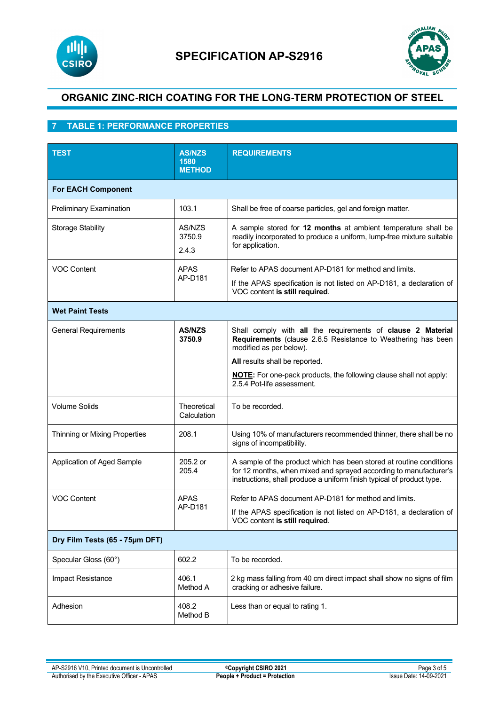



# **7 TABLE 1: PERFORMANCE PROPERTIES**

| <b>TEST</b>                    | <b>AS/NZS</b><br>1580<br><b>METHOD</b> | <b>REQUIREMENTS</b>                                                                                                                                                                                               |  |  |  |
|--------------------------------|----------------------------------------|-------------------------------------------------------------------------------------------------------------------------------------------------------------------------------------------------------------------|--|--|--|
| <b>For EACH Component</b>      |                                        |                                                                                                                                                                                                                   |  |  |  |
| Preliminary Examination        | 103.1                                  | Shall be free of coarse particles, gel and foreign matter.                                                                                                                                                        |  |  |  |
| Storage Stability              | AS/NZS<br>3750.9<br>2.4.3              | A sample stored for 12 months at ambient temperature shall be<br>readily incorporated to produce a uniform, lump-free mixture suitable<br>for application.                                                        |  |  |  |
| <b>VOC Content</b>             | <b>APAS</b><br>AP-D181                 | Refer to APAS document AP-D181 for method and limits.<br>If the APAS specification is not listed on AP-D181, a declaration of<br>VOC content is still required.                                                   |  |  |  |
| <b>Wet Paint Tests</b>         |                                        |                                                                                                                                                                                                                   |  |  |  |
| <b>General Requirements</b>    | <b>AS/NZS</b><br>3750.9                | Shall comply with all the requirements of clause 2 Material<br>Requirements (clause 2.6.5 Resistance to Weathering has been<br>modified as per below).                                                            |  |  |  |
|                                |                                        | All results shall be reported.                                                                                                                                                                                    |  |  |  |
|                                |                                        | <b>NOTE:</b> For one-pack products, the following clause shall not apply:<br>2.5.4 Pot-life assessment.                                                                                                           |  |  |  |
| <b>Volume Solids</b>           | Theoretical<br>Calculation             | To be recorded.                                                                                                                                                                                                   |  |  |  |
| Thinning or Mixing Properties  | 208.1                                  | Using 10% of manufacturers recommended thinner, there shall be no<br>signs of incompatibility.                                                                                                                    |  |  |  |
| Application of Aged Sample     | 205.2 or<br>205.4                      | A sample of the product which has been stored at routine conditions<br>for 12 months, when mixed and sprayed according to manufacturer's<br>instructions, shall produce a uniform finish typical of product type. |  |  |  |
| <b>VOC Content</b>             | <b>APAS</b><br>AP-D181                 | Refer to APAS document AP-D181 for method and limits.                                                                                                                                                             |  |  |  |
|                                |                                        | If the APAS specification is not listed on AP-D181, a declaration of<br>VOC content is still required.                                                                                                            |  |  |  |
| Dry Film Tests (65 - 75µm DFT) |                                        |                                                                                                                                                                                                                   |  |  |  |
| Specular Gloss (60°)           | 602.2                                  | To be recorded.                                                                                                                                                                                                   |  |  |  |
| Impact Resistance              | 406.1<br>Method A                      | 2 kg mass falling from 40 cm direct impact shall show no signs of film<br>cracking or adhesive failure.                                                                                                           |  |  |  |
| Adhesion                       | 408.2<br>Method B                      | Less than or equal to rating 1.                                                                                                                                                                                   |  |  |  |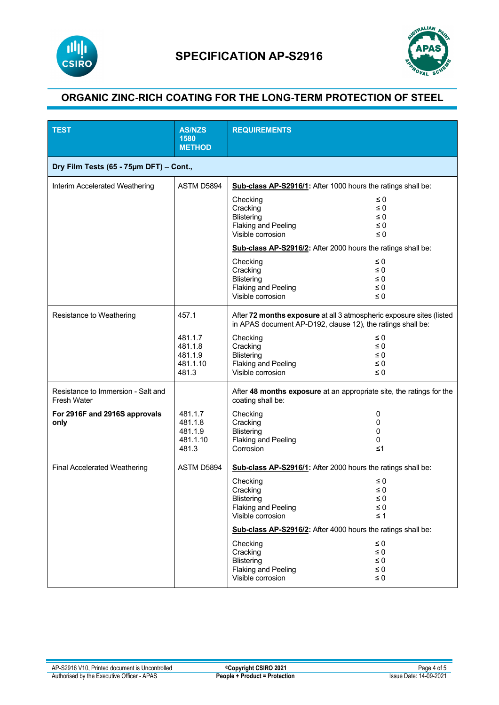



| <b>TEST</b>                                              | <b>AS/NZS</b><br>1580<br><b>METHOD</b>             | <b>REQUIREMENTS</b>                                                                                                                                          |                                                          |  |
|----------------------------------------------------------|----------------------------------------------------|--------------------------------------------------------------------------------------------------------------------------------------------------------------|----------------------------------------------------------|--|
| Dry Film Tests (65 - 75um DFT) - Cont.,                  |                                                    |                                                                                                                                                              |                                                          |  |
| Interim Accelerated Weathering                           | ASTM D5894                                         | Sub-class AP-S2916/1: After 1000 hours the ratings shall be:                                                                                                 |                                                          |  |
|                                                          |                                                    | Checking<br>Cracking<br><b>Blistering</b><br><b>Flaking and Peeling</b><br>Visible corrosion<br>Sub-class AP-S2916/2: After 2000 hours the ratings shall be: | $\leq 0$<br>$\leq 0$<br>$\leq 0$<br>$\leq 0$<br>$\leq 0$ |  |
|                                                          |                                                    | Checking<br>Cracking<br><b>Blistering</b><br><b>Flaking and Peeling</b><br>Visible corrosion                                                                 | $\leq 0$<br>$\leq 0$<br>$\leq 0$<br>$\leq 0$<br>$\leq 0$ |  |
| Resistance to Weathering                                 | 457.1                                              | After 72 months exposure at all 3 atmospheric exposure sites (listed<br>in APAS document AP-D192, clause 12), the ratings shall be:                          |                                                          |  |
|                                                          | 481.1.7<br>481.1.8<br>481.1.9<br>481.1.10<br>481.3 | Checking<br>Cracking<br><b>Blistering</b><br><b>Flaking and Peeling</b><br>Visible corrosion                                                                 | $\leq 0$<br>$\leq 0$<br>$\leq 0$<br>$\leq 0$<br>$\leq 0$ |  |
| Resistance to Immersion - Salt and<br><b>Fresh Water</b> |                                                    | After 48 months exposure at an appropriate site, the ratings for the<br>coating shall be:                                                                    |                                                          |  |
| For 2916F and 2916S approvals<br>only                    | 481.1.7<br>481.1.8<br>481.1.9<br>481.1.10<br>481.3 | Checking<br>Cracking<br><b>Blistering</b><br><b>Flaking and Peeling</b><br>Corrosion                                                                         | 0<br>0<br>0<br>0<br>$\leq 1$                             |  |
| <b>Final Accelerated Weathering</b>                      | ASTM D5894                                         | Sub-class AP-S2916/1: After 2000 hours the ratings shall be:                                                                                                 |                                                          |  |
|                                                          |                                                    | Checking<br>Cracking<br><b>Blistering</b><br>Flaking and Peeling<br>Visible corrosion                                                                        | $\leq 0$<br>$\leq 0$<br>$\leq 0$<br>$\leq 0$<br>$\leq 1$ |  |
|                                                          |                                                    | Sub-class AP-S2916/2: After 4000 hours the ratings shall be:                                                                                                 |                                                          |  |
|                                                          |                                                    | Checking<br>Cracking<br><b>Blistering</b><br><b>Flaking and Peeling</b><br>Visible corrosion                                                                 | $\leq 0$<br>$\leq 0$<br>≤0<br>$\leq 0$<br>$\leq 0$       |  |